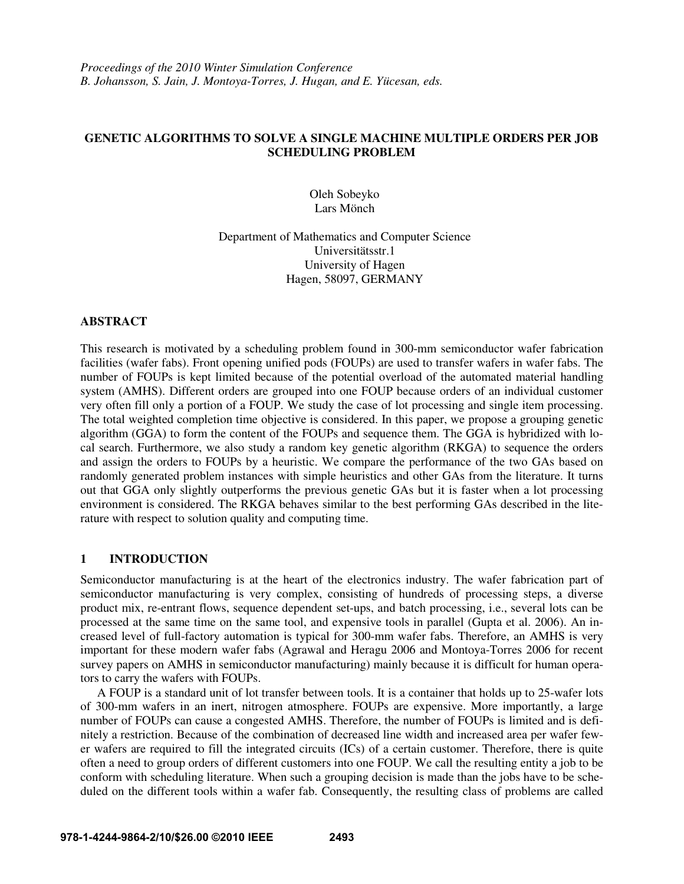# **GENETIC ALGORITHMS TO SOLVE A SINGLE MACHINE MULTIPLE ORDERS PER JOB SCHEDULING PROBLEM**

Oleh Sobeyko Lars Mönch

Department of Mathematics and Computer Science Universitätsstr.1 University of Hagen Hagen, 58097, GERMANY

## **ABSTRACT**

This research is motivated by a scheduling problem found in 300-mm semiconductor wafer fabrication facilities (wafer fabs). Front opening unified pods (FOUPs) are used to transfer wafers in wafer fabs. The number of FOUPs is kept limited because of the potential overload of the automated material handling system (AMHS). Different orders are grouped into one FOUP because orders of an individual customer very often fill only a portion of a FOUP. We study the case of lot processing and single item processing. The total weighted completion time objective is considered. In this paper, we propose a grouping genetic algorithm (GGA) to form the content of the FOUPs and sequence them. The GGA is hybridized with local search. Furthermore, we also study a random key genetic algorithm (RKGA) to sequence the orders and assign the orders to FOUPs by a heuristic. We compare the performance of the two GAs based on randomly generated problem instances with simple heuristics and other GAs from the literature. It turns out that GGA only slightly outperforms the previous genetic GAs but it is faster when a lot processing environment is considered. The RKGA behaves similar to the best performing GAs described in the literature with respect to solution quality and computing time.

# **1 INTRODUCTION**

Semiconductor manufacturing is at the heart of the electronics industry. The wafer fabrication part of semiconductor manufacturing is very complex, consisting of hundreds of processing steps, a diverse product mix, re-entrant flows, sequence dependent set-ups, and batch processing, i.e., several lots can be processed at the same time on the same tool, and expensive tools in parallel (Gupta et al. 2006). An increased level of full-factory automation is typical for 300-mm wafer fabs. Therefore, an AMHS is very important for these modern wafer fabs (Agrawal and Heragu 2006 and Montoya-Torres 2006 for recent survey papers on AMHS in semiconductor manufacturing) mainly because it is difficult for human operators to carry the wafers with FOUPs.

A FOUP is a standard unit of lot transfer between tools. It is a container that holds up to 25-wafer lots of 300-mm wafers in an inert, nitrogen atmosphere. FOUPs are expensive. More importantly, a large number of FOUPs can cause a congested AMHS. Therefore, the number of FOUPs is limited and is definitely a restriction. Because of the combination of decreased line width and increased area per wafer fewer wafers are required to fill the integrated circuits (ICs) of a certain customer. Therefore, there is quite often a need to group orders of different customers into one FOUP. We call the resulting entity a job to be conform with scheduling literature. When such a grouping decision is made than the jobs have to be scheduled on the different tools within a wafer fab. Consequently, the resulting class of problems are called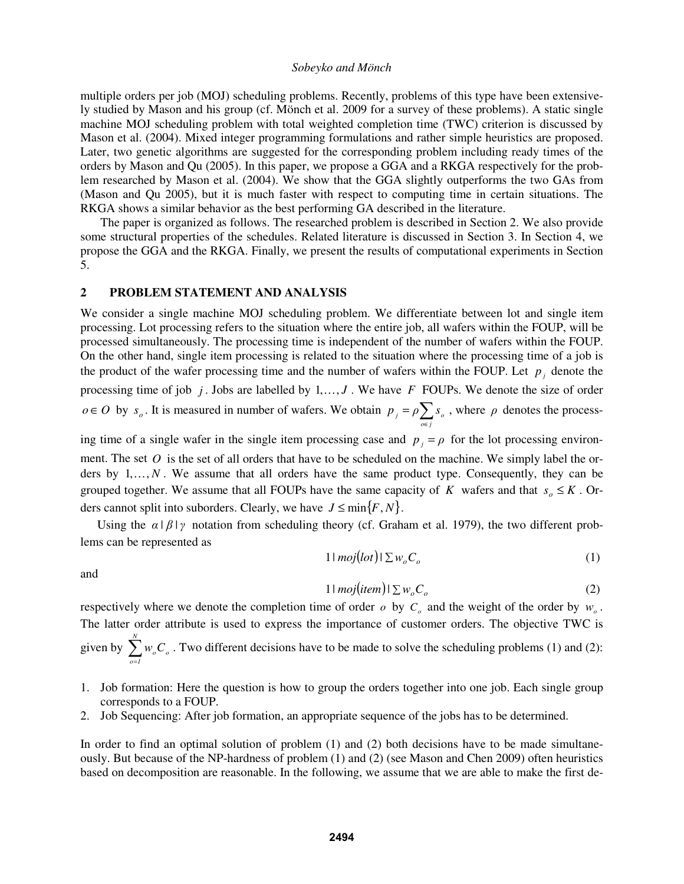multiple orders per job (MOJ) scheduling problems. Recently, problems of this type have been extensively studied by Mason and his group (cf. Mönch et al. 2009 for a survey of these problems). A static single machine MOJ scheduling problem with total weighted completion time (TWC) criterion is discussed by Mason et al. (2004). Mixed integer programming formulations and rather simple heuristics are proposed. Later, two genetic algorithms are suggested for the corresponding problem including ready times of the orders by Mason and Qu (2005). In this paper, we propose a GGA and a RKGA respectively for the problem researched by Mason et al. (2004). We show that the GGA slightly outperforms the two GAs from (Mason and Qu 2005), but it is much faster with respect to computing time in certain situations. The RKGA shows a similar behavior as the best performing GA described in the literature.

The paper is organized as follows. The researched problem is described in Section 2. We also provide some structural properties of the schedules. Related literature is discussed in Section 3. In Section 4, we propose the GGA and the RKGA. Finally, we present the results of computational experiments in Section 5.

### **2 PROBLEM STATEMENT AND ANALYSIS**

We consider a single machine MOJ scheduling problem. We differentiate between lot and single item processing. Lot processing refers to the situation where the entire job, all wafers within the FOUP, will be processed simultaneously. The processing time is independent of the number of wafers within the FOUP. On the other hand, single item processing is related to the situation where the processing time of a job is the product of the wafer processing time and the number of wafers within the FOUP. Let  $p_i$  denote the processing time of job  $j$ . Jobs are labelled by  $1, \ldots, J$  . We have  $F$  FOUPs. We denote the size of order  $o \in O$  by  $s_o$ . It is measured in number of wafers. We obtain  $p_j = \rho \sum_{o \in j}$ =  $p_j = \rho \sum_{o \in j} s_o$ , where  $\rho$  denotes the process-

ing time of a single wafer in the single item processing case and  $p_j = \rho$  for the lot processing environment. The set O is the set of all orders that have to be scheduled on the machine. We simply label the orders by  $1, \ldots, N$ . We assume that all orders have the same product type. Consequently, they can be grouped together. We assume that all FOUPs have the same capacity of *K* wafers and that  $s_o \leq K$ . Orders cannot split into suborders. Clearly, we have  $J \leq \min\{F,N\}$ .

Using the  $\alpha | \beta | \gamma$  notation from scheduling theory (cf. Graham et al. 1979), the two different problems can be represented as

$$
1 | \, \text{moj}(lot) | \, \sum w_o C_o \tag{1}
$$

and

$$
1 | \text{moj}(item) | \sum w_o C_o \tag{2}
$$

respectively where we denote the completion time of order  $o$  by  $C<sub>o</sub>$  and the weight of the order by  $w<sub>o</sub>$ . The latter order attribute is used to express the importance of customer orders. The objective TWC is given by  $\sum_{o=1}^{N}$ *N*  $\sum_{o=1}^{n} w_o C_o$ . Two different decisions have to be made to solve the scheduling problems (1) and (2):

- 1. Job formation: Here the question is how to group the orders together into one job. Each single group corresponds to a FOUP.
- 2. Job Sequencing: After job formation, an appropriate sequence of the jobs has to be determined.

In order to find an optimal solution of problem (1) and (2) both decisions have to be made simultaneously. But because of the NP-hardness of problem (1) and (2) (see Mason and Chen 2009) often heuristics based on decomposition are reasonable. In the following, we assume that we are able to make the first de-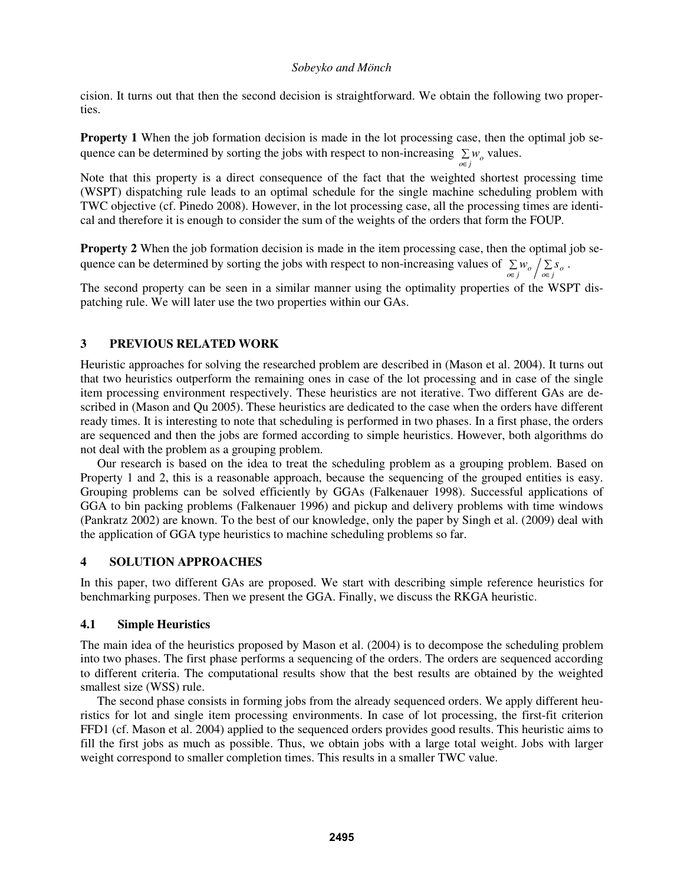cision. It turns out that then the second decision is straightforward. We obtain the following two properties.

**Property 1** When the job formation decision is made in the lot processing case, then the optimal job sequence can be determined by sorting the jobs with respect to non-increasing  $\sum w_o$  values.

∈*jo*

Note that this property is a direct consequence of the fact that the weighted shortest processing time (WSPT) dispatching rule leads to an optimal schedule for the single machine scheduling problem with TWC objective (cf. Pinedo 2008). However, in the lot processing case, all the processing times are identical and therefore it is enough to consider the sum of the weights of the orders that form the FOUP.

**Property 2** When the job formation decision is made in the item processing case, then the optimal job sequence can be determined by sorting the jobs with respect to non-increasing values of  $\sum_{\sigma \in j} w_o / \sum_{\sigma \in j} s_o$ .

The second property can be seen in a similar manner using the optimality properties of the WSPT dispatching rule. We will later use the two properties within our GAs.

# **3 PREVIOUS RELATED WORK**

Heuristic approaches for solving the researched problem are described in (Mason et al. 2004). It turns out that two heuristics outperform the remaining ones in case of the lot processing and in case of the single item processing environment respectively. These heuristics are not iterative. Two different GAs are described in (Mason and Qu 2005). These heuristics are dedicated to the case when the orders have different ready times. It is interesting to note that scheduling is performed in two phases. In a first phase, the orders are sequenced and then the jobs are formed according to simple heuristics. However, both algorithms do not deal with the problem as a grouping problem.

Our research is based on the idea to treat the scheduling problem as a grouping problem. Based on Property 1 and 2, this is a reasonable approach, because the sequencing of the grouped entities is easy. Grouping problems can be solved efficiently by GGAs (Falkenauer 1998). Successful applications of GGA to bin packing problems (Falkenauer 1996) and pickup and delivery problems with time windows (Pankratz 2002) are known. To the best of our knowledge, only the paper by Singh et al. (2009) deal with the application of GGA type heuristics to machine scheduling problems so far.

# **4 SOLUTION APPROACHES**

In this paper, two different GAs are proposed. We start with describing simple reference heuristics for benchmarking purposes. Then we present the GGA. Finally, we discuss the RKGA heuristic.

## **4.1 Simple Heuristics**

The main idea of the heuristics proposed by Mason et al. (2004) is to decompose the scheduling problem into two phases. The first phase performs a sequencing of the orders. The orders are sequenced according to different criteria. The computational results show that the best results are obtained by the weighted smallest size (WSS) rule.

The second phase consists in forming jobs from the already sequenced orders. We apply different heuristics for lot and single item processing environments. In case of lot processing, the first-fit criterion FFD1 (cf. Mason et al. 2004) applied to the sequenced orders provides good results. This heuristic aims to fill the first jobs as much as possible. Thus, we obtain jobs with a large total weight. Jobs with larger weight correspond to smaller completion times. This results in a smaller TWC value.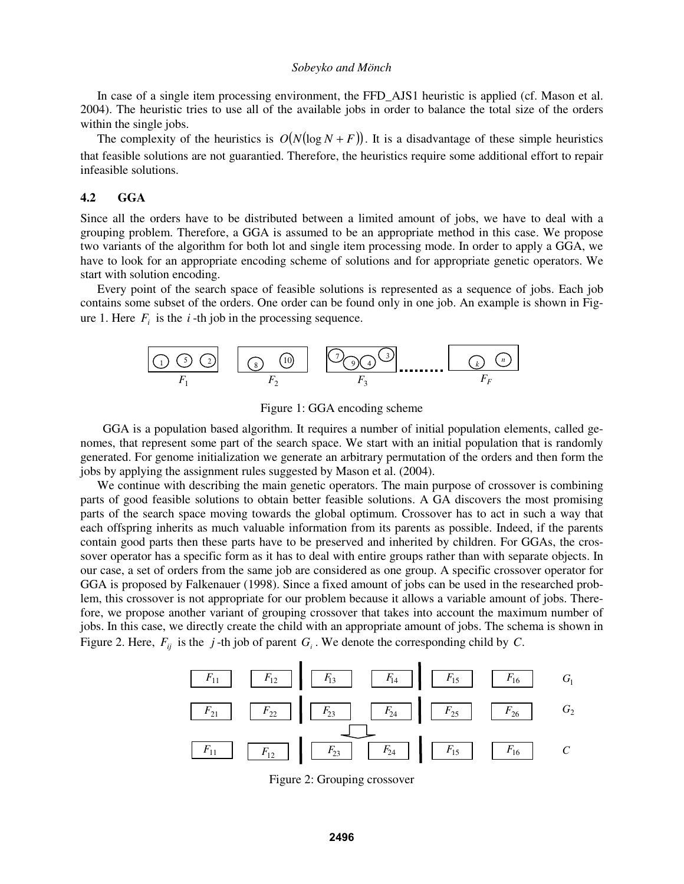In case of a single item processing environment, the FFD\_AJS1 heuristic is applied (cf. Mason et al. 2004). The heuristic tries to use all of the available jobs in order to balance the total size of the orders within the single jobs.

The complexity of the heuristics is  $O(N(\log N + F))$ . It is a disadvantage of these simple heuristics that feasible solutions are not guarantied. Therefore, the heuristics require some additional effort to repair infeasible solutions.

### **4.2 GGA**

Since all the orders have to be distributed between a limited amount of jobs, we have to deal with a grouping problem. Therefore, a GGA is assumed to be an appropriate method in this case. We propose two variants of the algorithm for both lot and single item processing mode. In order to apply a GGA, we have to look for an appropriate encoding scheme of solutions and for appropriate genetic operators. We start with solution encoding.

Every point of the search space of feasible solutions is represented as a sequence of jobs. Each job contains some subset of the orders. One order can be found only in one job. An example is shown in Figure 1. Here  $F_i$  is the  $i$ -th job in the processing sequence.



Figure 1: GGA encoding scheme

GGA is a population based algorithm. It requires a number of initial population elements, called genomes, that represent some part of the search space. We start with an initial population that is randomly generated. For genome initialization we generate an arbitrary permutation of the orders and then form the jobs by applying the assignment rules suggested by Mason et al. (2004).

We continue with describing the main genetic operators. The main purpose of crossover is combining parts of good feasible solutions to obtain better feasible solutions. A GA discovers the most promising parts of the search space moving towards the global optimum. Crossover has to act in such a way that each offspring inherits as much valuable information from its parents as possible. Indeed, if the parents contain good parts then these parts have to be preserved and inherited by children. For GGAs, the crossover operator has a specific form as it has to deal with entire groups rather than with separate objects. In our case, a set of orders from the same job are considered as one group. A specific crossover operator for GGA is proposed by Falkenauer (1998). Since a fixed amount of jobs can be used in the researched problem, this crossover is not appropriate for our problem because it allows a variable amount of jobs. Therefore, we propose another variant of grouping crossover that takes into account the maximum number of jobs. In this case, we directly create the child with an appropriate amount of jobs. The schema is shown in Figure 2. Here,  $F_{ij}$  is the *j*-th job of parent  $G_i$ . We denote the corresponding child by *C*.



Figure 2: Grouping crossover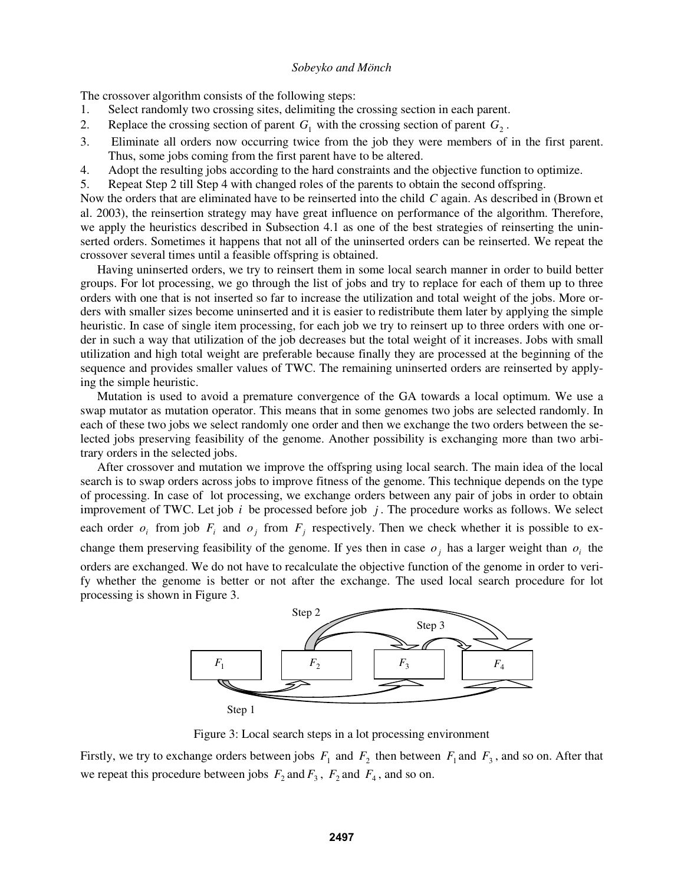The crossover algorithm consists of the following steps:

- 1. Select randomly two crossing sites, delimiting the crossing section in each parent.
- 2. Replace the crossing section of parent  $G_1$  with the crossing section of parent  $G_2$ .
- 3. Eliminate all orders now occurring twice from the job they were members of in the first parent. Thus, some jobs coming from the first parent have to be altered.
- 4. Adopt the resulting jobs according to the hard constraints and the objective function to optimize.
- 5. Repeat Step 2 till Step 4 with changed roles of the parents to obtain the second offspring.

Now the orders that are eliminated have to be reinserted into the child *C* again. As described in (Brown et al. 2003), the reinsertion strategy may have great influence on performance of the algorithm. Therefore, we apply the heuristics described in Subsection 4.1 as one of the best strategies of reinserting the uninserted orders. Sometimes it happens that not all of the uninserted orders can be reinserted. We repeat the crossover several times until a feasible offspring is obtained.

Having uninserted orders, we try to reinsert them in some local search manner in order to build better groups. For lot processing, we go through the list of jobs and try to replace for each of them up to three orders with one that is not inserted so far to increase the utilization and total weight of the jobs. More orders with smaller sizes become uninserted and it is easier to redistribute them later by applying the simple heuristic. In case of single item processing, for each job we try to reinsert up to three orders with one order in such a way that utilization of the job decreases but the total weight of it increases. Jobs with small utilization and high total weight are preferable because finally they are processed at the beginning of the sequence and provides smaller values of TWC. The remaining uninserted orders are reinserted by applying the simple heuristic.

Mutation is used to avoid a premature convergence of the GA towards a local optimum. We use a swap mutator as mutation operator. This means that in some genomes two jobs are selected randomly. In each of these two jobs we select randomly one order and then we exchange the two orders between the selected jobs preserving feasibility of the genome. Another possibility is exchanging more than two arbitrary orders in the selected jobs.

After crossover and mutation we improve the offspring using local search. The main idea of the local search is to swap orders across jobs to improve fitness of the genome. This technique depends on the type of processing. In case of lot processing, we exchange orders between any pair of jobs in order to obtain improvement of TWC. Let job *i* be processed before job *j* . The procedure works as follows. We select each order  $o_i$  from job  $F_i$  and  $o_j$  from  $F_j$  respectively. Then we check whether it is possible to exchange them preserving feasibility of the genome. If yes then in case  $o_i$  has a larger weight than  $o_i$  the orders are exchanged. We do not have to recalculate the objective function of the genome in order to verify whether the genome is better or not after the exchange. The used local search procedure for lot processing is shown in Figure 3.



Figure 3: Local search steps in a lot processing environment

Firstly, we try to exchange orders between jobs  $F_1$  and  $F_2$  then between  $F_1$  and  $F_3$ , and so on. After that we repeat this procedure between jobs  $F_2$  and  $F_3$ ,  $F_2$  and  $F_4$ , and so on.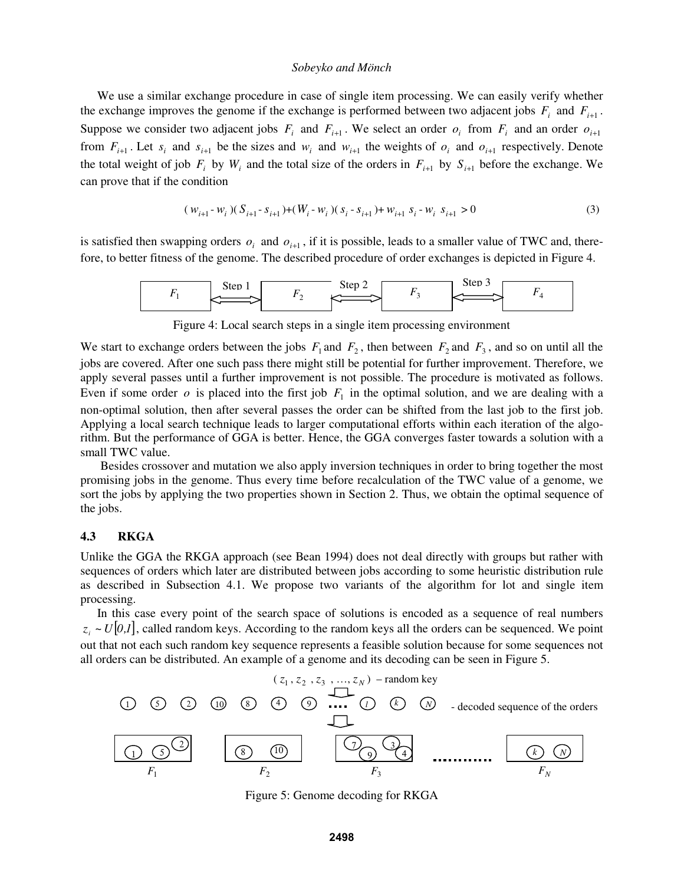We use a similar exchange procedure in case of single item processing. We can easily verify whether the exchange improves the genome if the exchange is performed between two adjacent jobs  $F_i$  and  $F_{i+1}$ . Suppose we consider two adjacent jobs  $F_i$  and  $F_{i+1}$ . We select an order  $o_i$  from  $F_i$  and an order  $o_{i+1}$ from  $F_{i+1}$ . Let  $s_i$  and  $s_{i+1}$  be the sizes and  $w_i$  and  $w_{i+1}$  the weights of  $o_i$  and  $o_{i+1}$  respectively. Denote the total weight of job  $F_i$  by  $W_i$  and the total size of the orders in  $F_{i+1}$  by  $S_{i+1}$  before the exchange. We can prove that if the condition

$$
(w_{i+1} - w_i)(S_{i+1} - S_{i+1}) + (W_i - w_i)(S_i - S_{i+1}) + w_{i+1} S_i - W_i S_{i+1} > 0
$$
\n(3)

is satisfied then swapping orders  $o_i$  and  $o_{i+1}$ , if it is possible, leads to a smaller value of TWC and, therefore, to better fitness of the genome. The described procedure of order exchanges is depicted in Figure 4.



Figure 4: Local search steps in a single item processing environment

We start to exchange orders between the jobs  $F_1$  and  $F_2$ , then between  $F_2$  and  $F_3$ , and so on until all the jobs are covered. After one such pass there might still be potential for further improvement. Therefore, we apply several passes until a further improvement is not possible. The procedure is motivated as follows. Even if some order  $o$  is placed into the first job  $F_1$  in the optimal solution, and we are dealing with a non-optimal solution, then after several passes the order can be shifted from the last job to the first job. Applying a local search technique leads to larger computational efforts within each iteration of the algorithm. But the performance of GGA is better. Hence, the GGA converges faster towards a solution with a small TWC value.

Besides crossover and mutation we also apply inversion techniques in order to bring together the most promising jobs in the genome. Thus every time before recalculation of the TWC value of a genome, we sort the jobs by applying the two properties shown in Section 2. Thus, we obtain the optimal sequence of the jobs.

### **4.3 RKGA**

Unlike the GGA the RKGA approach (see Bean 1994) does not deal directly with groups but rather with sequences of orders which later are distributed between jobs according to some heuristic distribution rule as described in Subsection 4.1. We propose two variants of the algorithm for lot and single item processing.

In this case every point of the search space of solutions is encoded as a sequence of real numbers  $z_i \sim U[0,1]$ , called random keys. According to the random keys all the orders can be sequenced. We point out that not each such random key sequence represents a feasible solution because for some sequences not all orders can be distributed. An example of a genome and its decoding can be seen in Figure 5.

$$
(z_1, z_2, z_3, ..., z_N) = \text{random key}
$$
\n
$$
(z_1, z_2, z_3, ..., z_N) = \text{random key}
$$
\n
$$
(z_1, z_2, z_3, ..., z_N) = \text{random key}
$$
\n
$$
(z_1, z_2, z_3, ..., z_N) = \text{random key}
$$
\n
$$
(z_1, z_2, z_3, ..., z_N) = \text{random key}
$$
\n
$$
(z_1, z_2, z_3, ..., z_N) = \text{random key}
$$
\n
$$
(z_1, z_2, z_3, ..., z_N) = \text{random key}
$$
\n
$$
(z_1, z_2, z_3, ..., z_N) = \text{random key}
$$
\n
$$
(z_1, z_2, z_3, ..., z_N) = \text{random key}
$$
\n
$$
(z_1, z_2, z_3, ..., z_N) = \text{random key}
$$
\n
$$
(z_1, z_2, z_3, ..., z_N) = \text{random key}
$$
\n
$$
(z_1, z_2, z_3, ..., z_N) = \text{random key}
$$
\n
$$
(z_1, z_2, z_3, ..., z_N) = \text{random key}
$$
\n
$$
(z_1, z_2, z_3, ..., z_N) = \text{random key}
$$
\n
$$
(z_1, z_2, ..., z_N) = \text{random key}
$$
\n
$$
(z_1, z_2, ..., z_N) = \text{random key}
$$
\n
$$
(z_1, z_2, ..., z_N) = \text{random key}
$$
\n
$$
(z_1, z_2, ..., z_N) = \text{random key}
$$
\n
$$
(z_1, z_2, ..., z_N) = \text{random key}
$$
\n
$$
(z_1, z_2, ..., z_N) = \text{random key}
$$
\n
$$
(z_1, z_2, ..., z_N) = \text{random key}
$$
\n
$$
(z_1, z_2, ..., z_N) = \text{random key}
$$
\n
$$
(z_1, z_2, ..., z_N) = \text{random key}
$$
\n
$$
(z_1, z_2, ..., z_N) = \text{random key}
$$
\n
$$
(z_1, z_2, ..., z_N) = \text{random key}
$$
\n
$$
(z_1
$$

Figure 5: Genome decoding for RKGA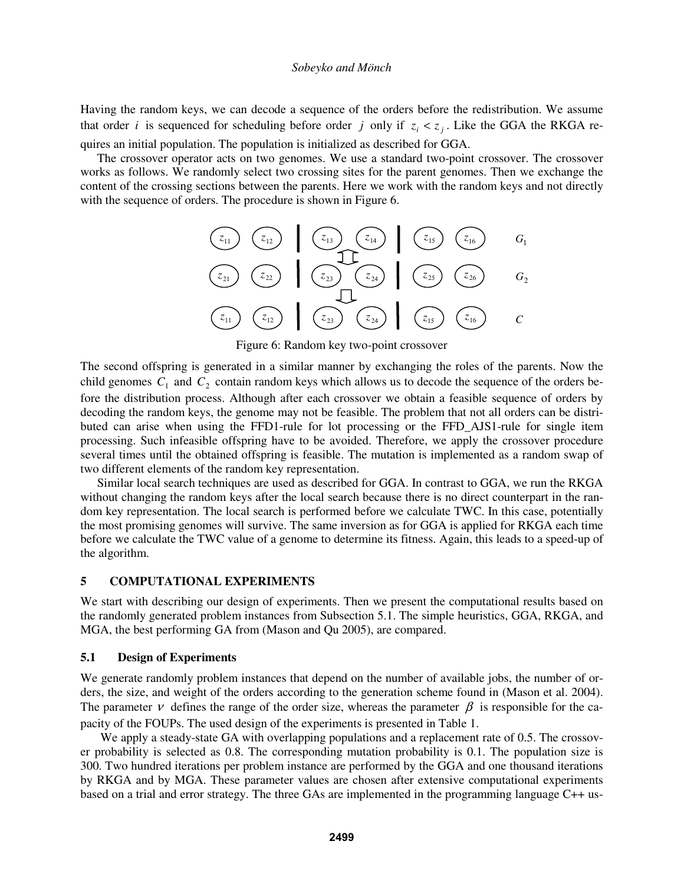Having the random keys, we can decode a sequence of the orders before the redistribution. We assume that order *i* is sequenced for scheduling before order *j* only if  $z_i < z_j$ . Like the GGA the RKGA re-

quires an initial population. The population is initialized as described for GGA.

The crossover operator acts on two genomes. We use a standard two-point crossover. The crossover works as follows. We randomly select two crossing sites for the parent genomes. Then we exchange the content of the crossing sections between the parents. Here we work with the random keys and not directly with the sequence of orders. The procedure is shown in Figure 6.



Figure 6: Random key two-point crossover

The second offspring is generated in a similar manner by exchanging the roles of the parents. Now the child genomes  $C_1$  and  $C_2$  contain random keys which allows us to decode the sequence of the orders before the distribution process. Although after each crossover we obtain a feasible sequence of orders by decoding the random keys, the genome may not be feasible. The problem that not all orders can be distributed can arise when using the FFD1-rule for lot processing or the FFD\_AJS1-rule for single item processing. Such infeasible offspring have to be avoided. Therefore, we apply the crossover procedure several times until the obtained offspring is feasible. The mutation is implemented as a random swap of two different elements of the random key representation.

Similar local search techniques are used as described for GGA. In contrast to GGA, we run the RKGA without changing the random keys after the local search because there is no direct counterpart in the random key representation. The local search is performed before we calculate TWC. In this case, potentially the most promising genomes will survive. The same inversion as for GGA is applied for RKGA each time before we calculate the TWC value of a genome to determine its fitness. Again, this leads to a speed-up of the algorithm.

## **5 COMPUTATIONAL EXPERIMENTS**

We start with describing our design of experiments. Then we present the computational results based on the randomly generated problem instances from Subsection 5.1. The simple heuristics, GGA, RKGA, and MGA, the best performing GA from (Mason and Qu 2005), are compared.

### **5.1 Design of Experiments**

We generate randomly problem instances that depend on the number of available jobs, the number of orders, the size, and weight of the orders according to the generation scheme found in (Mason et al. 2004). The parameter  $\nu$  defines the range of the order size, whereas the parameter  $\beta$  is responsible for the capacity of the FOUPs. The used design of the experiments is presented in Table 1.

We apply a steady-state GA with overlapping populations and a replacement rate of 0.5. The crossover probability is selected as 0.8. The corresponding mutation probability is 0.1. The population size is 300. Two hundred iterations per problem instance are performed by the GGA and one thousand iterations by RKGA and by MGA. These parameter values are chosen after extensive computational experiments based on a trial and error strategy. The three GAs are implemented in the programming language C++ us-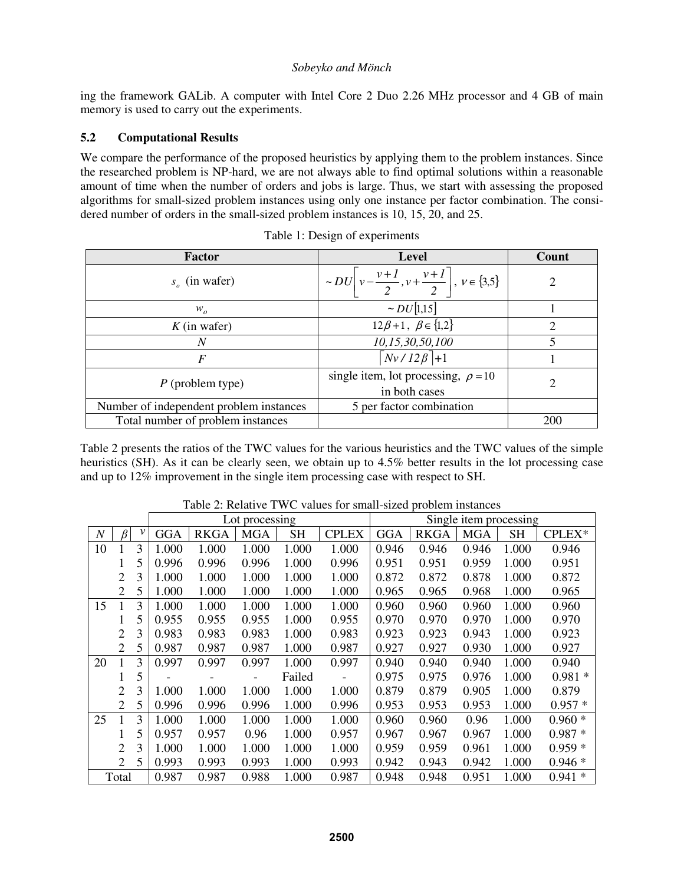ing the framework GALib. A computer with Intel Core 2 Duo 2.26 MHz processor and 4 GB of main memory is used to carry out the experiments.

## **5.2 Computational Results**

We compare the performance of the proposed heuristics by applying them to the problem instances. Since the researched problem is NP-hard, we are not always able to find optimal solutions within a reasonable amount of time when the number of orders and jobs is large. Thus, we start with assessing the proposed algorithms for small-sized problem instances using only one instance per factor combination. The considered number of orders in the small-sized problem instances is 10, 15, 20, and 25.

| Factor                                  | <b>Level</b>                                                               | Count |
|-----------------------------------------|----------------------------------------------------------------------------|-------|
| $s_{o}$ (in wafer)                      | $\sim DU\left[\nu-\frac{v+1}{2},\nu+\frac{v+1}{2}\right], \nu \in \{3,5\}$ |       |
| $W_{\alpha}$                            | $\sim DU[1,15]$                                                            |       |
| $K$ (in wafer)                          | $12\beta+1, \ \beta \in \{1,2\}$                                           | ∍     |
| N                                       | 10,15,30,50,100                                                            |       |
| F                                       | $\lceil Nv/12\beta \rceil + 1$                                             |       |
| $P$ (problem type)                      | single item, lot processing, $\rho = 10$<br>in both cases                  |       |
| Number of independent problem instances | 5 per factor combination                                                   |       |
| Total number of problem instances       |                                                                            | 200   |

| Table 1: Design of experiments |  |
|--------------------------------|--|
|--------------------------------|--|

Table 2 presents the ratios of the TWC values for the various heuristics and the TWC values of the simple heuristics (SH). As it can be clearly seen, we obtain up to 4.5% better results in the lot processing case and up to 12% improvement in the single item processing case with respect to SH.

|                  |                |              | Lot processing |             |            |           |              |            | Single item processing |            |                 |          |  |  |
|------------------|----------------|--------------|----------------|-------------|------------|-----------|--------------|------------|------------------------|------------|-----------------|----------|--|--|
| $\boldsymbol{N}$ | R              | $\mathcal V$ | <b>GGA</b>     | <b>RKGA</b> | <b>MGA</b> | <b>SH</b> | <b>CPLEX</b> | <b>GGA</b> | <b>RKGA</b>            | <b>MGA</b> | <b>SH</b>       | CPLEX*   |  |  |
| 10               |                | 3            | 1.000          | 1.000       | 1.000      | 1.000     | 1.000        | 0.946      | 0.946                  | 0.946      | 1.000           | 0.946    |  |  |
|                  |                | 5            | 0.996          | 0.996       | 0.996      | 1.000     | 0.996        | 0.951      | 0.951                  | 0.959      | 1.000           | 0.951    |  |  |
|                  | 2              | 3            | 1.000          | 1.000       | 1.000      | 1.000     | 1.000        | 0.872      | 0.872                  | 0.878      | 1.000           | 0.872    |  |  |
|                  | 2              | 5            | 1.000          | 1.000       | 1.000      | 1.000     | 1.000        | 0.965      | 0.965                  | 0.968      | 1.000           | 0.965    |  |  |
| 15               |                | 3            | 1.000          | 1.000       | 1.000      | 1.000     | 1.000        | 0.960      | 0.960                  | 0.960      | 1.000           | 0.960    |  |  |
|                  |                | 5            | 0.955          | 0.955       | 0.955      | 1.000     | 0.955        | 0.970      | 0.970                  | 0.970      | 1.000           | 0.970    |  |  |
|                  | 2              | 3            | 0.983          | 0.983       | 0.983      | 1.000     | 0.983        | 0.923      | 0.923                  | 0.943      | 1.000           | 0.923    |  |  |
|                  | $\overline{2}$ | 5            | 0.987          | 0.987       | 0.987      | 1.000     | 0.987        | 0.927      | 0.927                  | 0.930      | 1.000           | 0.927    |  |  |
| 20               |                | 3            | 0.997          | 0.997       | 0.997      | 1.000     | 0.997        | 0.940      | 0.940                  | 0.940      | 1.000           | 0.940    |  |  |
|                  |                | 5            |                |             |            | Failed    |              | 0.975      | 0.975                  | 0.976      | 1.000           | $0.981*$ |  |  |
|                  | $\overline{2}$ | 3            | 1.000          | 1.000       | 1.000      | 1.000     | 1.000        | 0.879      | 0.879                  | 0.905      | 1.000           | 0.879    |  |  |
|                  | 2              | 5            | 0.996          | 0.996       | 0.996      | 1.000     | 0.996        | 0.953      | 0.953                  | 0.953      | 1.000           | $0.957*$ |  |  |
| 25               |                | 3            | 1.000          | 1.000       | 1.000      | 1.000     | 1.000        | 0.960      | 0.960                  | 0.96       | 1.000           | $0.960*$ |  |  |
|                  |                | 5            | 0.957          | 0.957       | 0.96       | 1.000     | 0.957        | 0.967      | 0.967                  | 0.967      | 1.000           | $0.987*$ |  |  |
|                  | 2              | 3            | 1.000          | 1.000       | 1.000      | 1.000     | 1.000        | 0.959      | 0.959                  | 0.961      | 1.000           | $0.959*$ |  |  |
|                  | 2              | 5            | 0.993          | 0.993       | 0.993      | 1.000     | 0.993        | 0.942      | 0.943                  | 0.942      | 1.000           | $0.946*$ |  |  |
| Total            |                | 0.987        | 0.987          | 0.988       | 1.000      | 0.987     | 0.948        | 0.948      | 0.951                  | 1.000      | $\ast$<br>0.941 |          |  |  |

Table 2: Relative TWC values for small-sized problem instances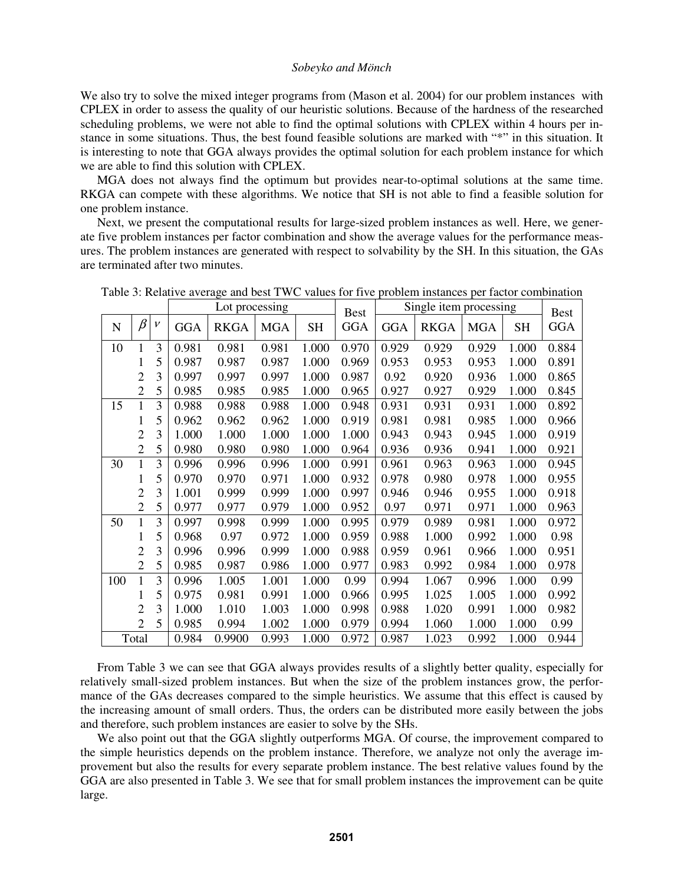We also try to solve the mixed integer programs from (Mason et al. 2004) for our problem instances with CPLEX in order to assess the quality of our heuristic solutions. Because of the hardness of the researched scheduling problems, we were not able to find the optimal solutions with CPLEX within 4 hours per instance in some situations. Thus, the best found feasible solutions are marked with "\*" in this situation. It is interesting to note that GGA always provides the optimal solution for each problem instance for which we are able to find this solution with CPLEX.

MGA does not always find the optimum but provides near-to-optimal solutions at the same time. RKGA can compete with these algorithms. We notice that SH is not able to find a feasible solution for one problem instance.

Next, we present the computational results for large-sized problem instances as well. Here, we generate five problem instances per factor combination and show the average values for the performance measures. The problem instances are generated with respect to solvability by the SH. In this situation, the GAs are terminated after two minutes.

|           |                |                            | Lot processing |             |            |           | <b>Best</b> | Single item processing |             |            |           | <b>Best</b> |
|-----------|----------------|----------------------------|----------------|-------------|------------|-----------|-------------|------------------------|-------------|------------|-----------|-------------|
| ${\bf N}$ | $\beta$        | $\boldsymbol{\mathcal{V}}$ | GGA            | <b>RKGA</b> | <b>MGA</b> | <b>SH</b> | GGA         | <b>GGA</b>             | <b>RKGA</b> | <b>MGA</b> | <b>SH</b> | GGA         |
| 10        | 1              | 3                          | 0.981          | 0.981       | 0.981      | 1.000     | 0.970       | 0.929                  | 0.929       | 0.929      | 1.000     | 0.884       |
|           | 1              | 5                          | 0.987          | 0.987       | 0.987      | 1.000     | 0.969       | 0.953                  | 0.953       | 0.953      | 1.000     | 0.891       |
|           | 2              | 3                          | 0.997          | 0.997       | 0.997      | 1.000     | 0.987       | 0.92                   | 0.920       | 0.936      | 1.000     | 0.865       |
|           | $\overline{2}$ | 5                          | 0.985          | 0.985       | 0.985      | 1.000     | 0.965       | 0.927                  | 0.927       | 0.929      | 1.000     | 0.845       |
| 15        | 1              | 3                          | 0.988          | 0.988       | 0.988      | 1.000     | 0.948       | 0.931                  | 0.931       | 0.931      | 1.000     | 0.892       |
|           | 1              | 5                          | 0.962          | 0.962       | 0.962      | 1.000     | 0.919       | 0.981                  | 0.981       | 0.985      | 1.000     | 0.966       |
|           | $\overline{2}$ | 3                          | 1.000          | 1.000       | 1.000      | 1.000     | 1.000       | 0.943                  | 0.943       | 0.945      | 1.000     | 0.919       |
|           | $\overline{c}$ | 5                          | 0.980          | 0.980       | 0.980      | 1.000     | 0.964       | 0.936                  | 0.936       | 0.941      | 1.000     | 0.921       |
| 30        | $\mathbf{1}$   | 3                          | 0.996          | 0.996       | 0.996      | 1.000     | 0.991       | 0.961                  | 0.963       | 0.963      | 1.000     | 0.945       |
|           | 1              | 5                          | 0.970          | 0.970       | 0.971      | 1.000     | 0.932       | 0.978                  | 0.980       | 0.978      | 1.000     | 0.955       |
|           | $\overline{2}$ | 3                          | 1.001          | 0.999       | 0.999      | 1.000     | 0.997       | 0.946                  | 0.946       | 0.955      | 1.000     | 0.918       |
|           | $\overline{2}$ | 5                          | 0.977          | 0.977       | 0.979      | 1.000     | 0.952       | 0.97                   | 0.971       | 0.971      | 1.000     | 0.963       |
| 50        | 1              | 3                          | 0.997          | 0.998       | 0.999      | 1.000     | 0.995       | 0.979                  | 0.989       | 0.981      | 1.000     | 0.972       |
|           | 1              | 5                          | 0.968          | 0.97        | 0.972      | 1.000     | 0.959       | 0.988                  | 1.000       | 0.992      | 1.000     | 0.98        |
|           | 2              | 3                          | 0.996          | 0.996       | 0.999      | 1.000     | 0.988       | 0.959                  | 0.961       | 0.966      | 1.000     | 0.951       |
|           | $\overline{2}$ | 5                          | 0.985          | 0.987       | 0.986      | 1.000     | 0.977       | 0.983                  | 0.992       | 0.984      | 1.000     | 0.978       |
| 100       | 1              | 3                          | 0.996          | 1.005       | 1.001      | 1.000     | 0.99        | 0.994                  | 1.067       | 0.996      | 1.000     | 0.99        |
|           | 1              | 5                          | 0.975          | 0.981       | 0.991      | 1.000     | 0.966       | 0.995                  | 1.025       | 1.005      | 1.000     | 0.992       |
|           | $\overline{2}$ | 3                          | 1.000          | 1.010       | 1.003      | 1.000     | 0.998       | 0.988                  | 1.020       | 0.991      | 1.000     | 0.982       |
|           | 2              | 5                          | 0.985          | 0.994       | 1.002      | 1.000     | 0.979       | 0.994                  | 1.060       | 1.000      | 1.000     | 0.99        |
|           | Total          |                            | 0.984          | 0.9900      | 0.993      | 1.000     | 0.972       | 0.987                  | 1.023       | 0.992      | 1.000     | 0.944       |

Table 3: Relative average and best TWC values for five problem instances per factor combination

From Table 3 we can see that GGA always provides results of a slightly better quality, especially for relatively small-sized problem instances. But when the size of the problem instances grow, the performance of the GAs decreases compared to the simple heuristics. We assume that this effect is caused by the increasing amount of small orders. Thus, the orders can be distributed more easily between the jobs and therefore, such problem instances are easier to solve by the SHs.

We also point out that the GGA slightly outperforms MGA. Of course, the improvement compared to the simple heuristics depends on the problem instance. Therefore, we analyze not only the average improvement but also the results for every separate problem instance. The best relative values found by the GGA are also presented in Table 3. We see that for small problem instances the improvement can be quite large.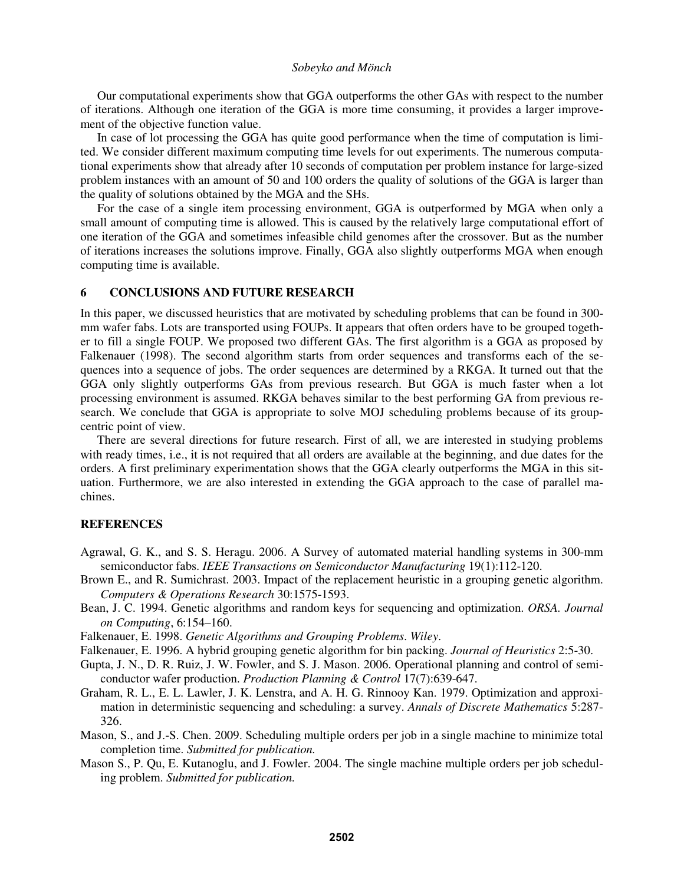Our computational experiments show that GGA outperforms the other GAs with respect to the number of iterations. Although one iteration of the GGA is more time consuming, it provides a larger improvement of the objective function value.

In case of lot processing the GGA has quite good performance when the time of computation is limited. We consider different maximum computing time levels for out experiments. The numerous computational experiments show that already after 10 seconds of computation per problem instance for large-sized problem instances with an amount of 50 and 100 orders the quality of solutions of the GGA is larger than the quality of solutions obtained by the MGA and the SHs.

For the case of a single item processing environment, GGA is outperformed by MGA when only a small amount of computing time is allowed. This is caused by the relatively large computational effort of one iteration of the GGA and sometimes infeasible child genomes after the crossover. But as the number of iterations increases the solutions improve. Finally, GGA also slightly outperforms MGA when enough computing time is available.

### **6 CONCLUSIONS AND FUTURE RESEARCH**

In this paper, we discussed heuristics that are motivated by scheduling problems that can be found in 300 mm wafer fabs. Lots are transported using FOUPs. It appears that often orders have to be grouped together to fill a single FOUP. We proposed two different GAs. The first algorithm is a GGA as proposed by Falkenauer (1998). The second algorithm starts from order sequences and transforms each of the sequences into a sequence of jobs. The order sequences are determined by a RKGA. It turned out that the GGA only slightly outperforms GAs from previous research. But GGA is much faster when a lot processing environment is assumed. RKGA behaves similar to the best performing GA from previous research. We conclude that GGA is appropriate to solve MOJ scheduling problems because of its groupcentric point of view.

There are several directions for future research. First of all, we are interested in studying problems with ready times, i.e., it is not required that all orders are available at the beginning, and due dates for the orders. A first preliminary experimentation shows that the GGA clearly outperforms the MGA in this situation. Furthermore, we are also interested in extending the GGA approach to the case of parallel machines.

## **REFERENCES**

- Agrawal, G. K., and S. S. Heragu. 2006. A Survey of automated material handling systems in 300-mm semiconductor fabs. *IEEE Transactions on Semiconductor Manufacturing* 19(1):112-120.
- Brown E., and R. Sumichrast. 2003. Impact of the replacement heuristic in a grouping genetic algorithm. *Computers & Operations Research* 30:1575-1593.
- Bean, J. C. 1994. Genetic algorithms and random keys for sequencing and optimization. *ORSA. Journal on Computing*, 6:154–160.
- Falkenauer, E. 1998. *Genetic Algorithms and Grouping Problems*. *Wiley*.
- Falkenauer, E. 1996. A hybrid grouping genetic algorithm for bin packing. *Journal of Heuristics* 2:5-30.
- Gupta, J. N., D. R. Ruiz, J. W. Fowler, and S. J. Mason. 2006. Operational planning and control of semiconductor wafer production. *Production Planning & Control* 17(7):639-647.
- Graham, R. L., E. L. Lawler, J. K. Lenstra, and A. H. G. Rinnooy Kan. 1979. Optimization and approximation in deterministic sequencing and scheduling: a survey. *Annals of Discrete Mathematics* 5:287- 326.
- Mason, S., and J.-S. Chen. 2009. Scheduling multiple orders per job in a single machine to minimize total completion time. *Submitted for publication.*
- Mason S., P. Qu, E. Kutanoglu, and J. Fowler. 2004. The single machine multiple orders per job scheduling problem. *Submitted for publication.*